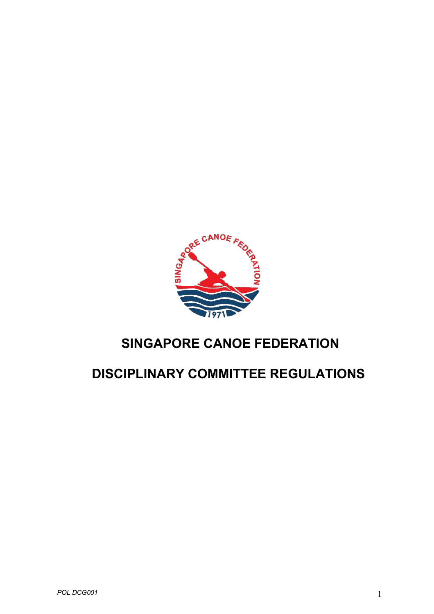

# **SINGAPORE CANOE FEDERATION**

# **DISCIPLINARY COMMITTEE REGULATIONS**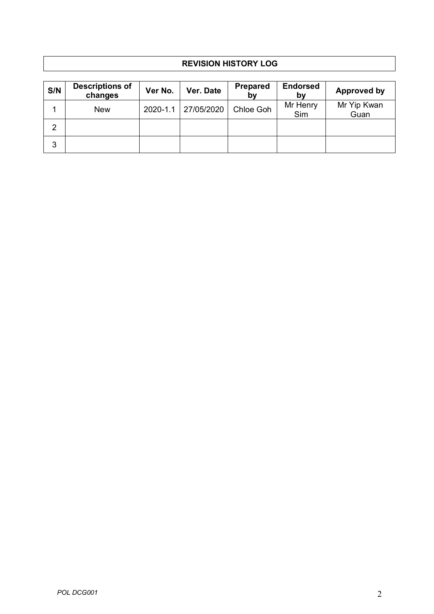# **REVISION HISTORY LOG**

| S/N | <b>Descriptions of</b><br>changes | Ver No.      | Ver. Date  | <b>Prepared</b><br>by | <b>Endorsed</b><br>by | Approved by         |
|-----|-----------------------------------|--------------|------------|-----------------------|-----------------------|---------------------|
|     | <b>New</b>                        | $2020 - 1.1$ | 27/05/2020 | Chloe Goh             | Mr Henry<br>Sim       | Mr Yip Kwan<br>Guan |
| 2   |                                   |              |            |                       |                       |                     |
| 3   |                                   |              |            |                       |                       |                     |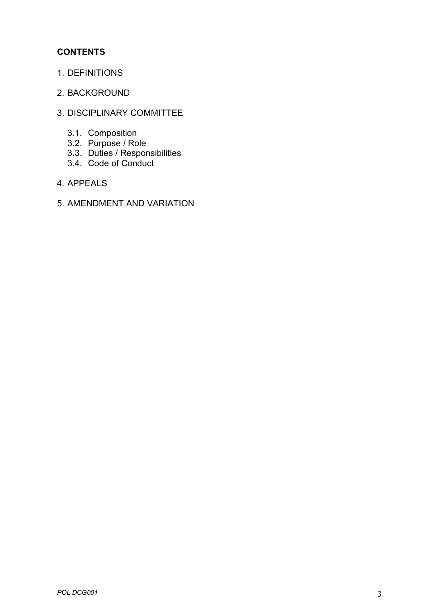# **CONTENTS**

- 1. DEFINITIONS
- 2. BACKGROUND
- 3. DISCIPLINARY COMMITTEE
	- 3.1. Composition
	- 3.2. Purpose / Role
	- 3.3. Duties / Responsibilities
	- 3.4. Code of Conduct
- 4. APPEALS
- 5. AMENDMENT AND VARIATION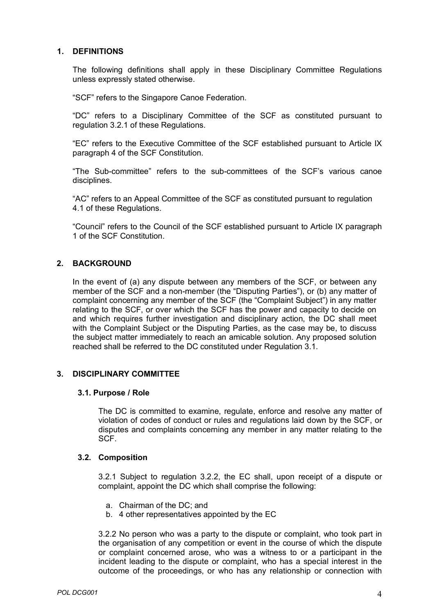# **1. DEFINITIONS**

The following definitions shall apply in these Disciplinary Committee Regulations unless expressly stated otherwise.

"SCF" refers to the Singapore Canoe Federation.

"DC" refers to a Disciplinary Committee of the SCF as constituted pursuant to regulation 3.2.1 of these Regulations.

"EC" refers to the Executive Committee of the SCF established pursuant to Article IX paragraph 4 of the SCF Constitution.

"The Sub-committee" refers to the sub-committees of the SCF's various canoe disciplines.

"AC" refers to an Appeal Committee of the SCF as constituted pursuant to regulation 4.1 of these Regulations.

"Council" refers to the Council of the SCF established pursuant to Article IX paragraph 1 of the SCF Constitution.

# **2. BACKGROUND**

In the event of (a) any dispute between any members of the SCF, or between any member of the SCF and a non-member (the "Disputing Parties"), or (b) any matter of complaint concerning any member of the SCF (the "Complaint Subject") in any matter relating to the SCF, or over which the SCF has the power and capacity to decide on and which requires further investigation and disciplinary action, the DC shall meet with the Complaint Subject or the Disputing Parties, as the case may be, to discuss the subject matter immediately to reach an amicable solution. Any proposed solution reached shall be referred to the DC constituted under Regulation 3.1.

# **3. DISCIPLINARY COMMITTEE**

#### **3.1. Purpose / Role**

The DC is committed to examine, regulate, enforce and resolve any matter of violation of codes of conduct or rules and regulations laid down by the SCF, or disputes and complaints concerning any member in any matter relating to the SCF.

# **3.2. Composition**

3.2.1 Subject to regulation 3.2.2, the EC shall, upon receipt of a dispute or complaint, appoint the DC which shall comprise the following:

- a. Chairman of the DC; and
- b. 4 other representatives appointed by the EC

3.2.2 No person who was a party to the dispute or complaint, who took part in the organisation of any competition or event in the course of which the dispute or complaint concerned arose, who was a witness to or a participant in the incident leading to the dispute or complaint, who has a special interest in the outcome of the proceedings, or who has any relationship or connection with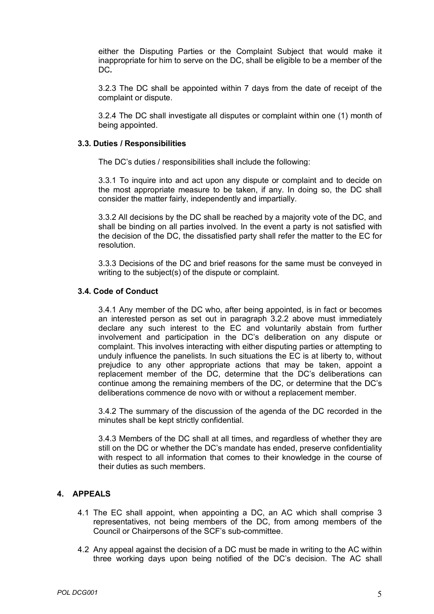either the Disputing Parties or the Complaint Subject that would make it inappropriate for him to serve on the DC, shall be eligible to be a member of the DC*.*

3.2.3 The DC shall be appointed within 7 days from the date of receipt of the complaint or dispute.

3.2.4 The DC shall investigate all disputes or complaint within one (1) month of being appointed.

#### **3.3. Duties / Responsibilities**

The DC's duties / responsibilities shall include the following:

3.3.1 To inquire into and act upon any dispute or complaint and to decide on the most appropriate measure to be taken, if any. In doing so, the DC shall consider the matter fairly, independently and impartially.

3.3.2 All decisions by the DC shall be reached by a majority vote of the DC, and shall be binding on all parties involved. In the event a party is not satisfied with the decision of the DC, the dissatisfied party shall refer the matter to the EC for resolution.

3.3.3 Decisions of the DC and brief reasons for the same must be conveyed in writing to the subject(s) of the dispute or complaint.

#### **3.4. Code of Conduct**

3.4.1 Any member of the DC who, after being appointed, is in fact or becomes an interested person as set out in paragraph 3.2.2 above must immediately declare any such interest to the EC and voluntarily abstain from further involvement and participation in the DC's deliberation on any dispute or complaint. This involves interacting with either disputing parties or attempting to unduly influence the panelists. In such situations the EC is at liberty to, without prejudice to any other appropriate actions that may be taken, appoint a replacement member of the DC, determine that the DC's deliberations can continue among the remaining members of the DC, or determine that the DC's deliberations commence de novo with or without a replacement member.

3.4.2 The summary of the discussion of the agenda of the DC recorded in the minutes shall be kept strictly confidential.

3.4.3 Members of the DC shall at all times, and regardless of whether they are still on the DC or whether the DC's mandate has ended, preserve confidentiality with respect to all information that comes to their knowledge in the course of their duties as such members.

# **4. APPEALS**

- 4.1 The EC shall appoint, when appointing a DC, an AC which shall comprise 3 representatives, not being members of the DC, from among members of the Council or Chairpersons of the SCF's sub-committee.
- 4.2 Any appeal against the decision of a DC must be made in writing to the AC within three working days upon being notified of the DC's decision. The AC shall